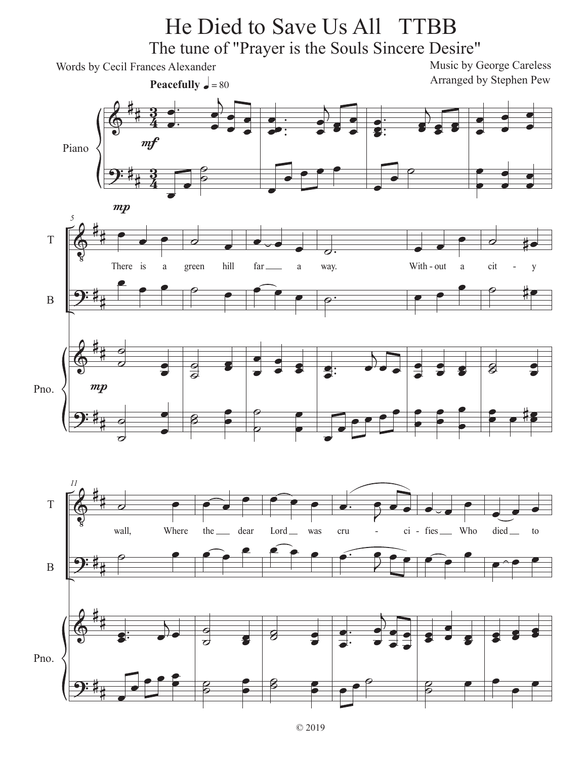## He Died to Save Us All TTBB

The tune of "Prayer is the Souls Sincere Desire"

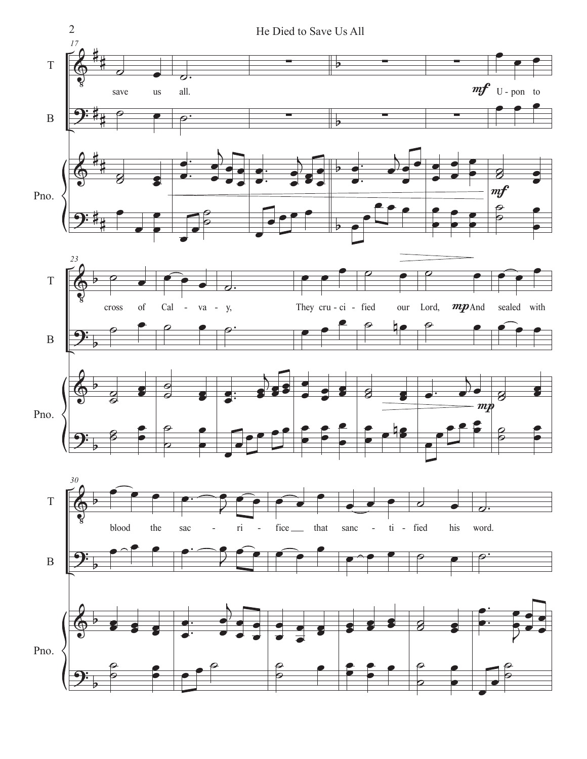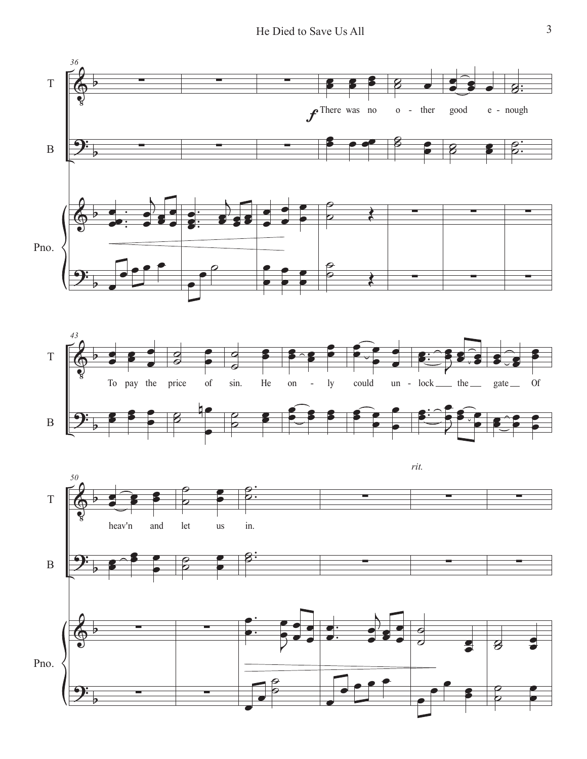